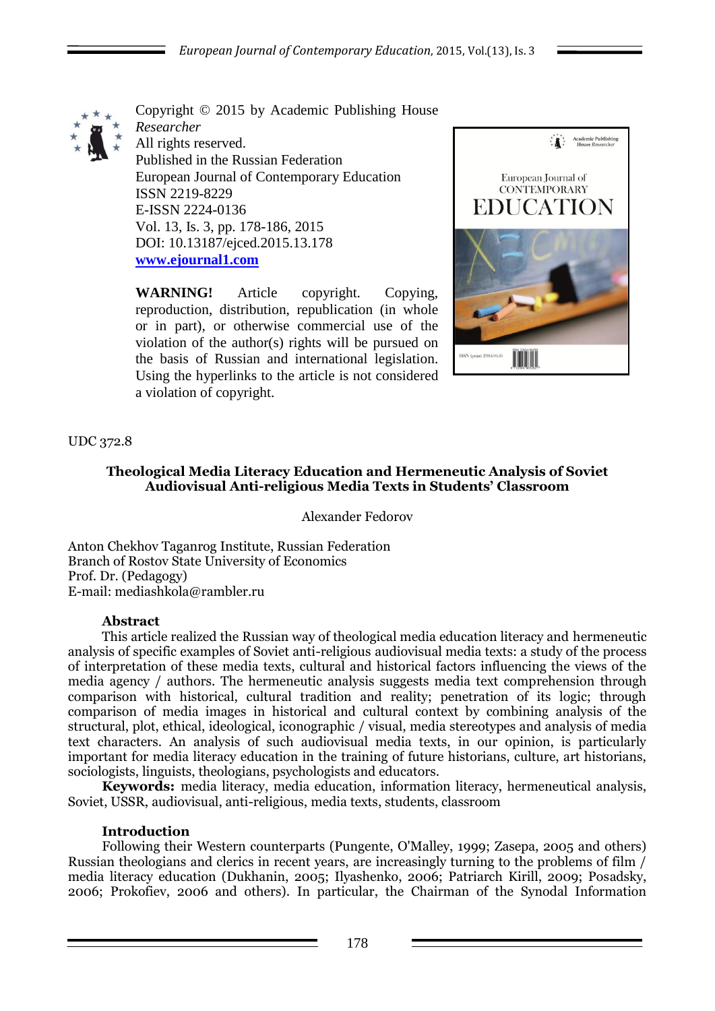

Copyright © 2015 by Academic Publishing House *Researcher* All rights reserved. Published in the Russian Federation European Journal of Contemporary Education ISSN 2219-8229 E-ISSN 2224-0136 Vol. 13, Is. 3, pp. 178-186, 2015 DOI: 10.13187/ejced.2015.13.178 **[www.ejournal1.com](http://www.ejournal1.com/)**

**WARNING!** Article copyright. Copying, reproduction, distribution, republication (in whole or in part), or otherwise commercial use of the violation of the author(s) rights will be pursued on the basis of Russian and international legislation. Using the hyperlinks to the article is not considered a violation of copyright.



# UDC 372.8

## **Theological Media Literacy Education and Hermeneutic Analysis of Soviet Audiovisual Anti-religious Media Texts in Students' Classroom**

Alexander Fedorov

Anton Chekhov Taganrog Institute, Russian Federation Branch of Rostov State University of Economics Prof. Dr. (Pedagogy) E-mail: mediashkola@rambler.ru

#### **Abstract**

This article realized the Russian way of theological media education literacy and hermeneutic analysis of specific examples of Soviet anti-religious audiovisual media texts: a study of the process of interpretation of these media texts, cultural and historical factors influencing the views of the media agency / authors. The hermeneutic analysis suggests media text comprehension through comparison with historical, cultural tradition and reality; penetration of its logic; through comparison of media images in historical and cultural context by combining analysis of the structural, plot, ethical, ideological, iconographic / visual, media stereotypes and analysis of media text characters. An analysis of such audiovisual media texts, in our opinion, is particularly important for media literacy education in the training of future historians, culture, art historians, sociologists, linguists, theologians, psychologists and educators.

**Keywords:** media literacy, media education, information literacy, hermeneutical analysis, Soviet, USSR, audiovisual, anti-religious, media texts, students, classroom

#### **Introduction**

Following their Western counterparts (Pungente, O'Malley, 1999; Zasepa, 2005 and others) Russian theologians and clerics in recent years, are increasingly turning to the problems of film / media literacy education (Dukhanin, 2005; Ilyashenko, 2006; Patriarch Kirill, 2009; Posadsky, 2006; Prokofiev, 2006 and others). In particular, the Chairman of the Synodal Information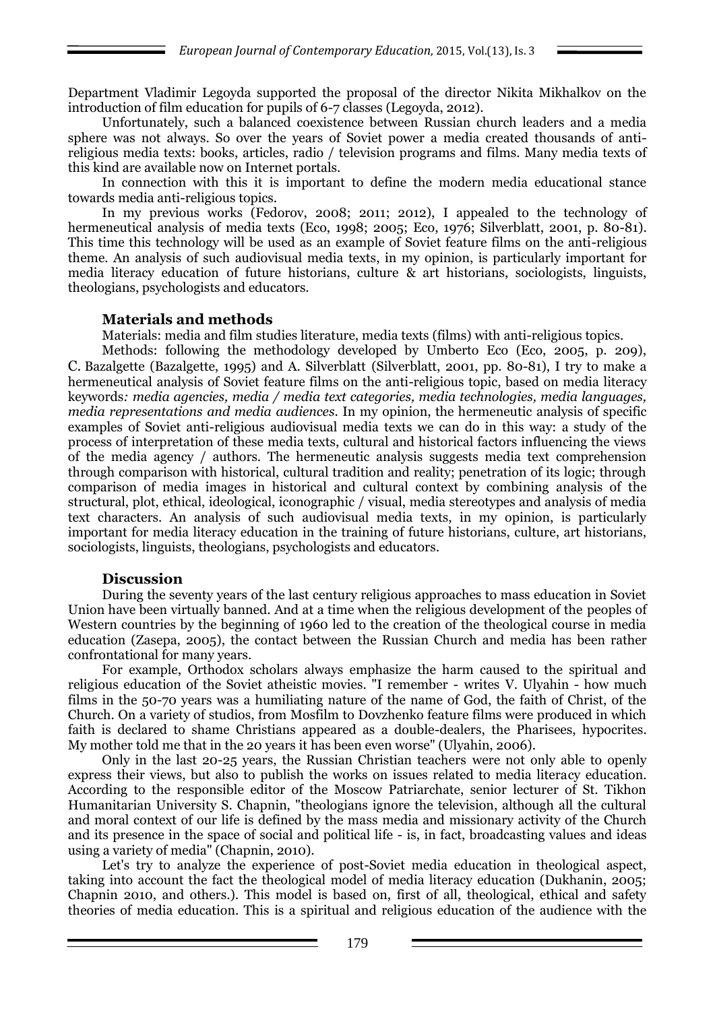Department Vladimir Legoyda supported the proposal of the director Nikita Mikhalkov on the introduction of film education for pupils of 6-7 classes (Legoyda, 2012).

Unfortunately, such a balanced coexistence between Russian church leaders and a media sphere was not always. So over the years of Soviet power a media created thousands of antireligious media texts: books, articles, radio / television programs and films. Many media texts of this kind are available now on Internet portals.

In connection with this it is important to define the modern media educational stance towards media anti-religious topics.

In my previous works (Fedorov, 2008; 2011; 2012), I appealed to the technology of hermeneutical analysis of media texts (Eco, 1998; 2005; Eco, 1976; Silverblatt, 2001, p. 80-81). This time this technology will be used as an example of Soviet feature films on the anti-religious theme. An analysis of such audiovisual media texts, in my opinion, is particularly important for media literacy education of future historians, culture & art historians, sociologists, linguists, theologians, psychologists and educators.

#### **Materials and methods**

Materials: media and film studies literature, media texts (films) with anti-religious topics.

Methods: following the methodology developed by Umberto Eco (Eco, 2005, p. 209), C. Bazalgette (Bazalgette, 1995) and A. Silverblatt (Silverblatt, 2001, pp. 80-81), I try to make a hermeneutical analysis of Soviet feature films on the anti-religious topic, based on media literacy keywords*: media agencies, media / media text categories, media technologies, media languages, media representations and media audiences*. In my opinion, the hermeneutic analysis of specific examples of Soviet anti-religious audiovisual media texts we can do in this way: a study of the process of interpretation of these media texts, cultural and historical factors influencing the views of the media agency / authors. The hermeneutic analysis suggests media text comprehension through comparison with historical, cultural tradition and reality; penetration of its logic; through comparison of media images in historical and cultural context by combining analysis of the structural, plot, ethical, ideological, iconographic / visual, media stereotypes and analysis of media text characters. An analysis of such audiovisual media texts, in my opinion, is particularly important for media literacy education in the training of future historians, culture, art historians, sociologists, linguists, theologians, psychologists and educators.

#### **Discussion**

During the seventy years of the last century religious approaches to mass education in Soviet Union have been virtually banned. And at a time when the religious development of the peoples of Western countries by the beginning of 1960 led to the creation of the theological course in media education (Zasepa, 2005), the contact between the Russian Church and media has been rather confrontational for many years.

For example, Orthodox scholars always emphasize the harm caused to the spiritual and religious education of the Soviet atheistic movies. "I remember - writes V. Ulyahin - how much films in the 50-70 years was a humiliating nature of the name of God, the faith of Christ, of the Church. On a variety of studios, from Mosfilm to Dovzhenko feature films were produced in which faith is declared to shame Christians appeared as a double-dealers, the Pharisees, hypocrites. My mother told me that in the 20 years it has been even worse" (Ulyahin, 2006).

Only in the last 20-25 years, the Russian Christian teachers were not only able to openly express their views, but also to publish the works on issues related to media literacy education. According to the responsible editor of the Moscow Patriarchate, senior lecturer of St. Tikhon Humanitarian University S. Chapnin, "theologians ignore the television, although all the cultural and moral context of our life is defined by the mass media and missionary activity of the Church and its presence in the space of social and political life - is, in fact, broadcasting values and ideas using a variety of media" (Chapnin, 2010).

Let's try to analyze the experience of post-Soviet media education in theological aspect, taking into account the fact the theological model of media literacy education (Dukhanin, 2005; Chapnin 2010, and others.). This model is based on, first of all, theological, ethical and safety theories of media education. This is a spiritual and religious education of the audience with the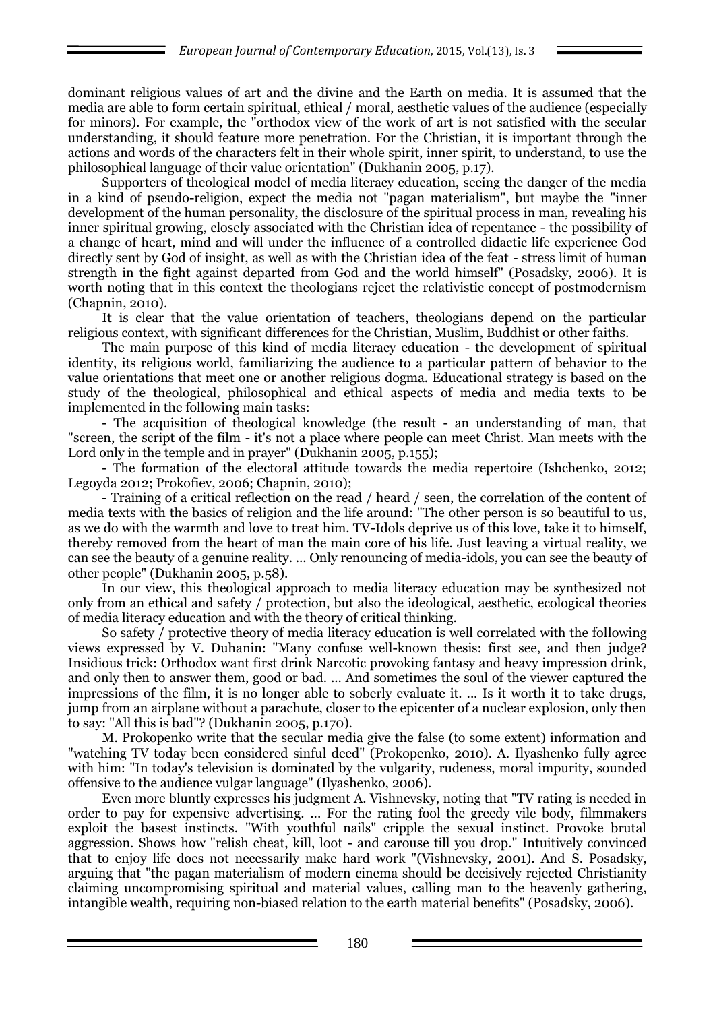dominant religious values of art and the divine and the Earth on media. It is assumed that the media are able to form certain spiritual, ethical / moral, aesthetic values of the audience (especially for minors). For example, the "orthodox view of the work of art is not satisfied with the secular understanding, it should feature more penetration. For the Christian, it is important through the actions and words of the characters felt in their whole spirit, inner spirit, to understand, to use the philosophical language of their value orientation" (Dukhanin 2005, p.17).

Supporters of theological model of media literacy education, seeing the danger of the media in a kind of pseudo-religion, expect the media not "pagan materialism", but maybe the "inner development of the human personality, the disclosure of the spiritual process in man, revealing his inner spiritual growing, closely associated with the Christian idea of repentance - the possibility of a change of heart, mind and will under the influence of a controlled didactic life experience God directly sent by God of insight, as well as with the Christian idea of the feat - stress limit of human strength in the fight against departed from God and the world himself" (Posadsky, 2006). It is worth noting that in this context the theologians reject the relativistic concept of postmodernism (Chapnin, 2010).

It is clear that the value orientation of teachers, theologians depend on the particular religious context, with significant differences for the Christian, Muslim, Buddhist or other faiths.

The main purpose of this kind of media literacy education - the development of spiritual identity, its religious world, familiarizing the audience to a particular pattern of behavior to the value orientations that meet one or another religious dogma. Educational strategy is based on the study of the theological, philosophical and ethical aspects of media and media texts to be implemented in the following main tasks:

- The acquisition of theological knowledge (the result - an understanding of man, that "screen, the script of the film - it's not a place where people can meet Christ. Man meets with the Lord only in the temple and in prayer" (Dukhanin 2005, p.155);

- The formation of the electoral attitude towards the media repertoire (Ishchenko, 2012; Legoyda 2012; Prokofiev, 2006; Chapnin, 2010);

- Training of a critical reflection on the read / heard / seen, the correlation of the content of media texts with the basics of religion and the life around: "The other person is so beautiful to us, as we do with the warmth and love to treat him. TV-Idols deprive us of this love, take it to himself, thereby removed from the heart of man the main core of his life. Just leaving a virtual reality, we can see the beauty of a genuine reality. ... Only renouncing of media-idols, you can see the beauty of other people" (Dukhanin 2005, p.58).

In our view, this theological approach to media literacy education may be synthesized not only from an ethical and safety / protection, but also the ideological, aesthetic, ecological theories of media literacy education and with the theory of critical thinking.

So safety / protective theory of media literacy education is well correlated with the following views expressed by V. Duhanin: "Many confuse well-known thesis: first see, and then judge? Insidious trick: Orthodox want first drink Narcotic provoking fantasy and heavy impression drink, and only then to answer them, good or bad. ... And sometimes the soul of the viewer captured the impressions of the film, it is no longer able to soberly evaluate it. ... Is it worth it to take drugs, jump from an airplane without a parachute, closer to the epicenter of a nuclear explosion, only then to say: "All this is bad"? (Dukhanin 2005, p.170).

M. Prokopenko write that the secular media give the false (to some extent) information and "watching TV today been considered sinful deed" (Prokopenko, 2010). A. Ilyashenko fully agree with him: "In today's television is dominated by the vulgarity, rudeness, moral impurity, sounded offensive to the audience vulgar language" (Ilyashenko, 2006).

Even more bluntly expresses his judgment A. Vishnevsky, noting that "TV rating is needed in order to pay for expensive advertising. ... For the rating fool the greedy vile body, filmmakers exploit the basest instincts. "With youthful nails" cripple the sexual instinct. Provoke brutal aggression. Shows how "relish cheat, kill, loot - and carouse till you drop." Intuitively convinced that to enjoy life does not necessarily make hard work "(Vishnevsky, 2001). And S. Posadsky, arguing that "the pagan materialism of modern cinema should be decisively rejected Christianity claiming uncompromising spiritual and material values, calling man to the heavenly gathering, intangible wealth, requiring non-biased relation to the earth material benefits" (Posadsky, 2006).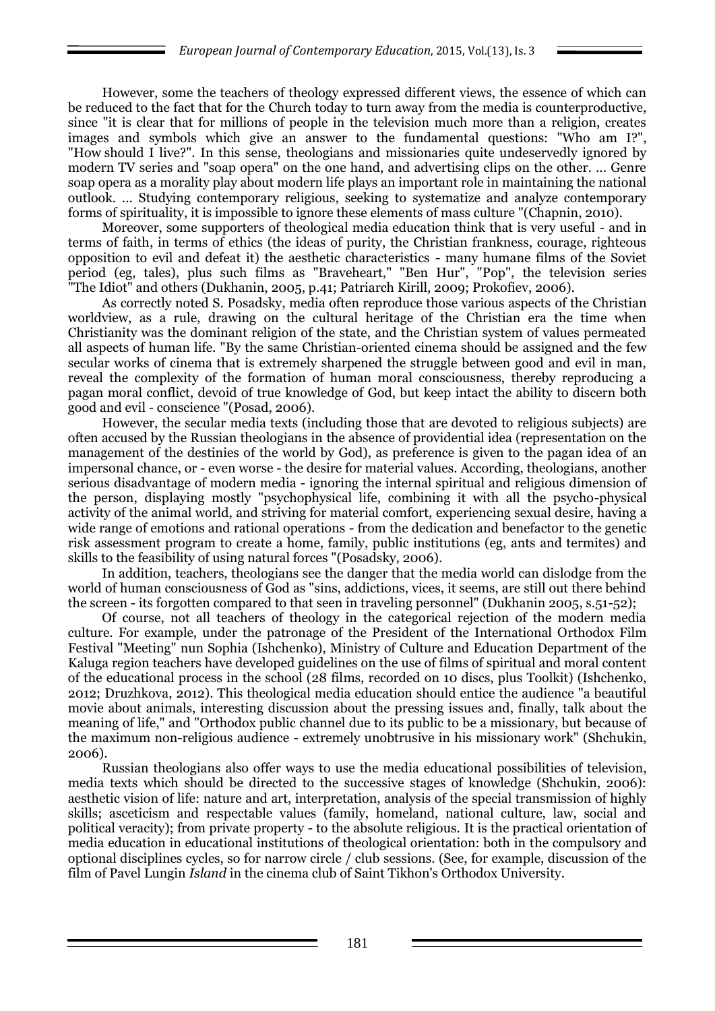However, some the teachers of theology expressed different views, the essence of which can be reduced to the fact that for the Church today to turn away from the media is counterproductive, since "it is clear that for millions of people in the television much more than a religion, creates images and symbols which give an answer to the fundamental questions: "Who am I?", "How should I live?". In this sense, theologians and missionaries quite undeservedly ignored by modern TV series and "soap opera" on the one hand, and advertising clips on the other. ... Genre soap opera as a morality play about modern life plays an important role in maintaining the national outlook. ... Studying contemporary religious, seeking to systematize and analyze contemporary forms of spirituality, it is impossible to ignore these elements of mass culture "(Chapnin, 2010).

Moreover, some supporters of theological media education think that is very useful - and in terms of faith, in terms of ethics (the ideas of purity, the Christian frankness, courage, righteous opposition to evil and defeat it) the aesthetic characteristics - many humane films of the Soviet period (eg, tales), plus such films as "Braveheart," "Ben Hur", "Pop", the television series "The Idiot" and others (Dukhanin, 2005, p.41; Patriarch Kirill, 2009; Prokofiev, 2006).

As correctly noted S. Posadsky, media often reproduce those various aspects of the Christian worldview, as a rule, drawing on the cultural heritage of the Christian era the time when Christianity was the dominant religion of the state, and the Christian system of values permeated all aspects of human life. "By the same Christian-oriented cinema should be assigned and the few secular works of cinema that is extremely sharpened the struggle between good and evil in man, reveal the complexity of the formation of human moral consciousness, thereby reproducing a pagan moral conflict, devoid of true knowledge of God, but keep intact the ability to discern both good and evil - conscience "(Posad, 2006).

However, the secular media texts (including those that are devoted to religious subjects) are often accused by the Russian theologians in the absence of providential idea (representation on the management of the destinies of the world by God), as preference is given to the pagan idea of an impersonal chance, or - even worse - the desire for material values. According, theologians, another serious disadvantage of modern media - ignoring the internal spiritual and religious dimension of the person, displaying mostly "psychophysical life, combining it with all the psycho-physical activity of the animal world, and striving for material comfort, experiencing sexual desire, having a wide range of emotions and rational operations - from the dedication and benefactor to the genetic risk assessment program to create a home, family, public institutions (eg, ants and termites) and skills to the feasibility of using natural forces "(Posadsky, 2006).

In addition, teachers, theologians see the danger that the media world can dislodge from the world of human consciousness of God as "sins, addictions, vices, it seems, are still out there behind the screen - its forgotten compared to that seen in traveling personnel" (Dukhanin 2005, s.51-52);

Of course, not all teachers of theology in the categorical rejection of the modern media culture. For example, under the patronage of the President of the International Orthodox Film Festival "Meeting" nun Sophia (Ishchenko), Ministry of Culture and Education Department of the Kaluga region teachers have developed guidelines on the use of films of spiritual and moral content of the educational process in the school (28 films, recorded on 10 discs, plus Toolkit) (Ishchenko, 2012; Druzhkova, 2012). This theological media education should entice the audience "a beautiful movie about animals, interesting discussion about the pressing issues and, finally, talk about the meaning of life," and "Orthodox public channel due to its public to be a missionary, but because of the maximum non-religious audience - extremely unobtrusive in his missionary work" (Shchukin, 2006).

Russian theologians also offer ways to use the media educational possibilities of television, media texts which should be directed to the successive stages of knowledge (Shchukin, 2006): aesthetic vision of life: nature and art, interpretation, analysis of the special transmission of highly skills; asceticism and respectable values (family, homeland, national culture, law, social and political veracity); from private property - to the absolute religious. It is the practical orientation of media education in educational institutions of theological orientation: both in the compulsory and optional disciplines cycles, so for narrow circle / club sessions. (See, for example, discussion of the film of Pavel Lungin *Island* in the cinema club of Saint Tikhon's Orthodox University.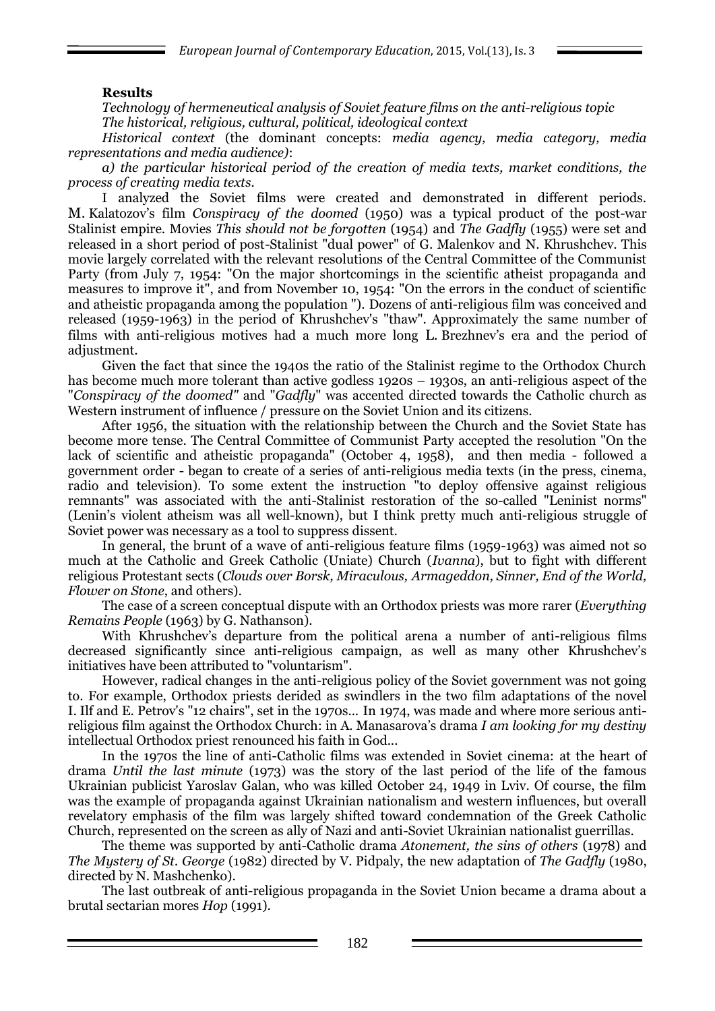### **Results**

*Technology of hermeneutical analysis of Soviet feature films on the anti-religious topic The historical, religious, cultural, political, ideological context*

*Historical context* (the dominant concepts: *media agency, media category, media representations and media audience)*:

*a) the particular historical period of the creation of media texts, market conditions, the process of creating media texts.*

I analyzed the Soviet films were created and demonstrated in different periods. M. Kalatozov"s film *Conspiracy of the doomed* (1950) was a typical product of the post-war Stalinist empire. Movies *This should not be forgotten* (1954) and *The Gadfly* (1955) were set and released in a short period of post-Stalinist "dual power" of G. Malenkov and N. Khrushchev. This movie largely correlated with the relevant resolutions of the Central Committee of the Communist Party (from July 7, 1954: "On the major shortcomings in the scientific atheist propaganda and measures to improve it", and from November 10, 1954: "On the errors in the conduct of scientific and atheistic propaganda among the population "). Dozens of anti-religious film was conceived and released (1959-1963) in the period of Khrushchev's "thaw". Approximately the same number of films with anti-religious motives had a much more long L. Brezhnev's era and the period of adjustment.

Given the fact that since the 1940s the ratio of the Stalinist regime to the Orthodox Church has become much more tolerant than active godless 1920s – 1930s, an anti-religious aspect of the "*Conspiracy of the doomed"* and "*Gadfly*" was accented directed towards the Catholic church as Western instrument of influence / pressure on the Soviet Union and its citizens.

After 1956, the situation with the relationship between the Church and the Soviet State has become more tense. The Central Committee of Communist Party accepted the resolution "On the lack of scientific and atheistic propaganda" (October 4, 1958), and then media - followed a government order - began to create of a series of anti-religious media texts (in the press, cinema, radio and television). To some extent the instruction "to deploy offensive against religious remnants" was associated with the anti-Stalinist restoration of the so-called "Leninist norms" (Lenin"s violent atheism was all well-known), but I think pretty much anti-religious struggle of Soviet power was necessary as a tool to suppress dissent.

In general, the brunt of a wave of anti-religious feature films (1959-1963) was aimed not so much at the Catholic and Greek Catholic (Uniate) Church (*Ivanna*), but to fight with different religious Protestant sects (*Clouds over Borsk, Miraculous, Armageddon, Sinner, End of the World, Flower on Stone*, and others).

The case of a screen conceptual dispute with an Orthodox priests was more rarer (*Everything Remains People* (1963) by G. Nathanson).

With Khrushchev's departure from the political arena a number of anti-religious films decreased significantly since anti-religious campaign, as well as many other Khrushchev"s initiatives have been attributed to "voluntarism".

However, radical changes in the anti-religious policy of the Soviet government was not going to. For example, Orthodox priests derided as swindlers in the two film adaptations of the novel I. Ilf and E. Petrov's "12 chairs", set in the 1970s... In 1974, was made and where more serious antireligious film against the Orthodox Church: in A. Manasarova"s drama *I am looking for my destiny* intellectual Orthodox priest renounced his faith in God...

In the 1970s the line of anti-Catholic films was extended in Soviet cinema: at the heart of drama *Until the last minute* (1973) was the story of the last period of the life of the famous Ukrainian publicist Yaroslav Galan, who was killed October 24, 1949 in Lviv. Of course, the film was the example of propaganda against Ukrainian nationalism and western influences, but overall revelatory emphasis of the film was largely shifted toward condemnation of the Greek Catholic Church, represented on the screen as ally of Nazi and anti-Soviet Ukrainian nationalist guerrillas.

The theme was supported by anti-Catholic drama *Atonement, the sins of others* (1978) and *The Mystery of St. George* (1982) directed by V. Pidpaly, the new adaptation of *The Gadfly* (1980, directed by N. Mashchenko).

The last outbreak of anti-religious propaganda in the Soviet Union became a drama about a brutal sectarian mores *Hop* (1991).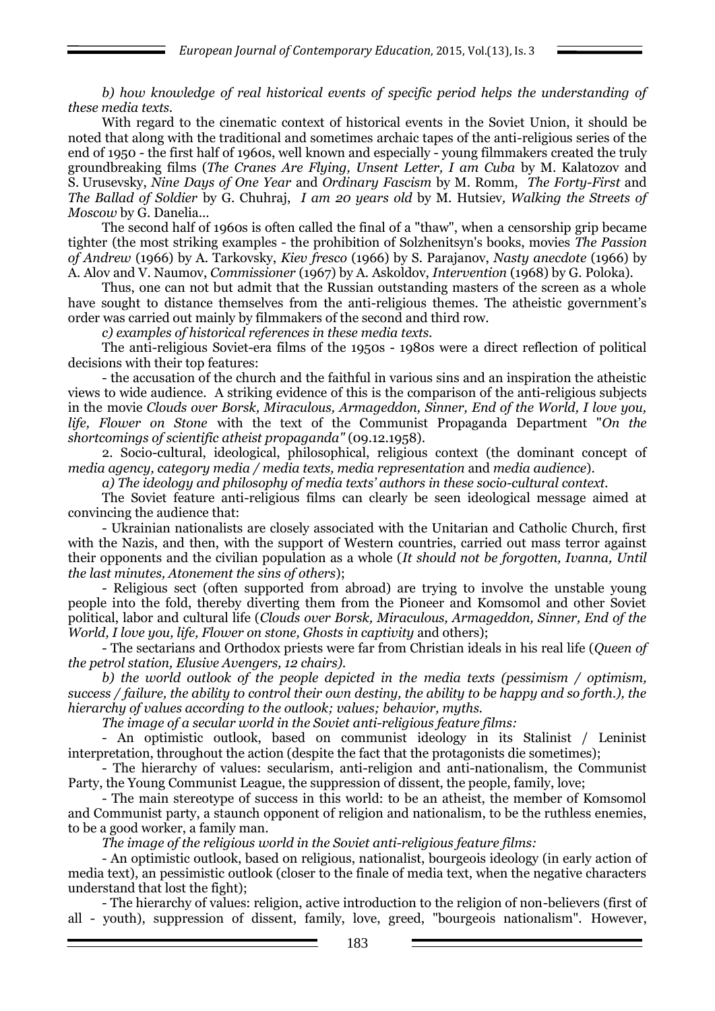*b) how knowledge of real historical events of specific period helps the understanding of these media texts.*

With regard to the cinematic context of historical events in the Soviet Union, it should be noted that along with the traditional and sometimes archaic tapes of the anti-religious series of the end of 1950 - the first half of 1960s, well known and especially - young filmmakers created the truly groundbreaking films (*The Cranes Are Flying, Unsent Letter, I am Cuba* by M. Kalatozov and S. Urusevsky, *Nine Days of One Year* and *Ordinary Fascism* by M. Romm, *The Forty-First* and *The Ballad of Soldier* by G. Chuhraj, *I am 20 years old* by M. Hutsiev*, Walking the Streets of Moscow* by G. Danelia...

The second half of 1960s is often called the final of a "thaw", when a censorship grip became tighter (the most striking examples - the prohibition of Solzhenitsyn's books, movies *The Passion of Andrew* (1966) by A. Tarkovsky, *Kiev fresco* (1966) by S. Parajanov, *Nasty anecdote* (1966) by A. Alov and V. Naumov, *Commissioner* (1967) by A. Askoldov, *Intervention* (1968) by G. Poloka).

Thus, one can not but admit that the Russian outstanding masters of the screen as a whole have sought to distance themselves from the anti-religious themes. The atheistic government's order was carried out mainly by filmmakers of the second and third row.

*c) examples of historical references in these media texts.*

The anti-religious Soviet-era films of the 1950s - 1980s were a direct reflection of political decisions with their top features:

- the accusation of the church and the faithful in various sins and an inspiration the atheistic views to wide audience. A striking evidence of this is the comparison of the anti-religious subjects in the movie *Clouds over Borsk, Miraculous, Armageddon, Sinner, End of the World, I love you, life, Flower on Stone* with the text of the Communist Propaganda Department "*On the shortcomings of scientific atheist propaganda"* (09.12.1958).

2. Socio-cultural, ideological, philosophical, religious context (the dominant concept of *media agency, category media / media texts, media representation* and *media audience*).

*a) The ideology and philosophy of media texts' authors in these socio-cultural context.*

The Soviet feature anti-religious films can clearly be seen ideological message aimed at convincing the audience that:

- Ukrainian nationalists are closely associated with the Unitarian and Catholic Church, first with the Nazis, and then, with the support of Western countries, carried out mass terror against their opponents and the civilian population as a whole (*It should not be forgotten, Ivanna, Until the last minutes, Atonement the sins of others*);

- Religious sect (often supported from abroad) are trying to involve the unstable young people into the fold, thereby diverting them from the Pioneer and Komsomol and other Soviet political, labor and cultural life (*Clouds over Borsk, Miraculous, Armageddon, Sinner, End of the World, I love you, life, Flower on stone, Ghosts in captivity* and others);

- The sectarians and Orthodox priests were far from Christian ideals in his real life (*Queen of the petrol station, Elusive Avengers, 12 chairs).*

*b) the world outlook of the people depicted in the media texts (pessimism / optimism, success / failure, the ability to control their own destiny, the ability to be happy and so forth.), the hierarchy of values according to the outlook; values; behavior, myths.*

*The image of a secular world in the Soviet anti-religious feature films:*

- An optimistic outlook, based on communist ideology in its Stalinist / Leninist interpretation, throughout the action (despite the fact that the protagonists die sometimes);

- The hierarchy of values: secularism, anti-religion and anti-nationalism, the Communist Party, the Young Communist League, the suppression of dissent, the people, family, love;

- The main stereotype of success in this world: to be an atheist, the member of Komsomol and Communist party, a staunch opponent of religion and nationalism, to be the ruthless enemies, to be a good worker, a family man.

*The image of the religious world in the Soviet anti-religious feature films:*

- An optimistic outlook, based on religious, nationalist, bourgeois ideology (in early action of media text), an pessimistic outlook (closer to the finale of media text, when the negative characters understand that lost the fight);

- The hierarchy of values: religion, active introduction to the religion of non-believers (first of all - youth), suppression of dissent, family, love, greed, "bourgeois nationalism". However,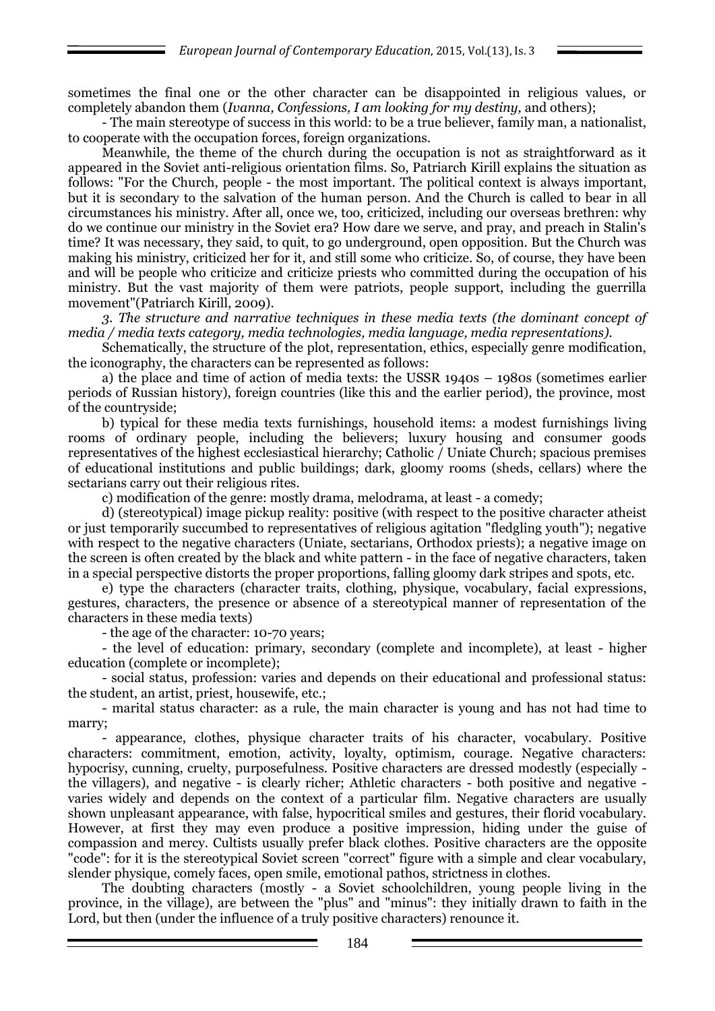sometimes the final one or the other character can be disappointed in religious values, or completely abandon them (*Ivanna, Confessions, I am looking for my destiny,* and others);

- The main stereotype of success in this world: to be a true believer, family man, a nationalist, to cooperate with the occupation forces, foreign organizations.

Meanwhile, the theme of the church during the occupation is not as straightforward as it appeared in the Soviet anti-religious orientation films. So, Patriarch Kirill explains the situation as follows: "For the Church, people - the most important. The political context is always important, but it is secondary to the salvation of the human person. And the Church is called to bear in all circumstances his ministry. After all, once we, too, criticized, including our overseas brethren: why do we continue our ministry in the Soviet era? How dare we serve, and pray, and preach in Stalin's time? It was necessary, they said, to quit, to go underground, open opposition. But the Church was making his ministry, criticized her for it, and still some who criticize. So, of course, they have been and will be people who criticize and criticize priests who committed during the occupation of his ministry. But the vast majority of them were patriots, people support, including the guerrilla movement"(Patriarch Kirill, 2009).

*3. The structure and narrative techniques in these media texts (the dominant concept of media / media texts category, media technologies, media language, media representations).*

Schematically, the structure of the plot, representation, ethics, especially genre modification, the iconography, the characters can be represented as follows:

a) the place and time of action of media texts: the USSR 1940s – 1980s (sometimes earlier periods of Russian history), foreign countries (like this and the earlier period), the province, most of the countryside;

b) typical for these media texts furnishings, household items: a modest furnishings living rooms of ordinary people, including the believers; luxury housing and consumer goods representatives of the highest ecclesiastical hierarchy; Catholic / Uniate Church; spacious premises of educational institutions and public buildings; dark, gloomy rooms (sheds, cellars) where the sectarians carry out their religious rites.

c) modification of the genre: mostly drama, melodrama, at least - a comedy;

d) (stereotypical) image pickup reality: positive (with respect to the positive character atheist or just temporarily succumbed to representatives of religious agitation "fledgling youth"); negative with respect to the negative characters (Uniate, sectarians, Orthodox priests); a negative image on the screen is often created by the black and white pattern - in the face of negative characters, taken in a special perspective distorts the proper proportions, falling gloomy dark stripes and spots, etc.

e) type the characters (character traits, clothing, physique, vocabulary, facial expressions, gestures, characters, the presence or absence of a stereotypical manner of representation of the characters in these media texts)

- the age of the character: 10-70 years;

- the level of education: primary, secondary (complete and incomplete), at least - higher education (complete or incomplete);

- social status, profession: varies and depends on their educational and professional status: the student, an artist, priest, housewife, etc.;

- marital status character: as a rule, the main character is young and has not had time to marry;

- appearance, clothes, physique character traits of his character, vocabulary. Positive characters: commitment, emotion, activity, loyalty, optimism, courage. Negative characters: hypocrisy, cunning, cruelty, purposefulness. Positive characters are dressed modestly (especially the villagers), and negative - is clearly richer; Athletic characters - both positive and negative varies widely and depends on the context of a particular film. Negative characters are usually shown unpleasant appearance, with false, hypocritical smiles and gestures, their florid vocabulary. However, at first they may even produce a positive impression, hiding under the guise of compassion and mercy. Cultists usually prefer black clothes. Positive characters are the opposite "code": for it is the stereotypical Soviet screen "correct" figure with a simple and clear vocabulary, slender physique, comely faces, open smile, emotional pathos, strictness in clothes.

The doubting characters (mostly - a Soviet schoolchildren, young people living in the province, in the village), are between the "plus" and "minus": they initially drawn to faith in the Lord, but then (under the influence of a truly positive characters) renounce it.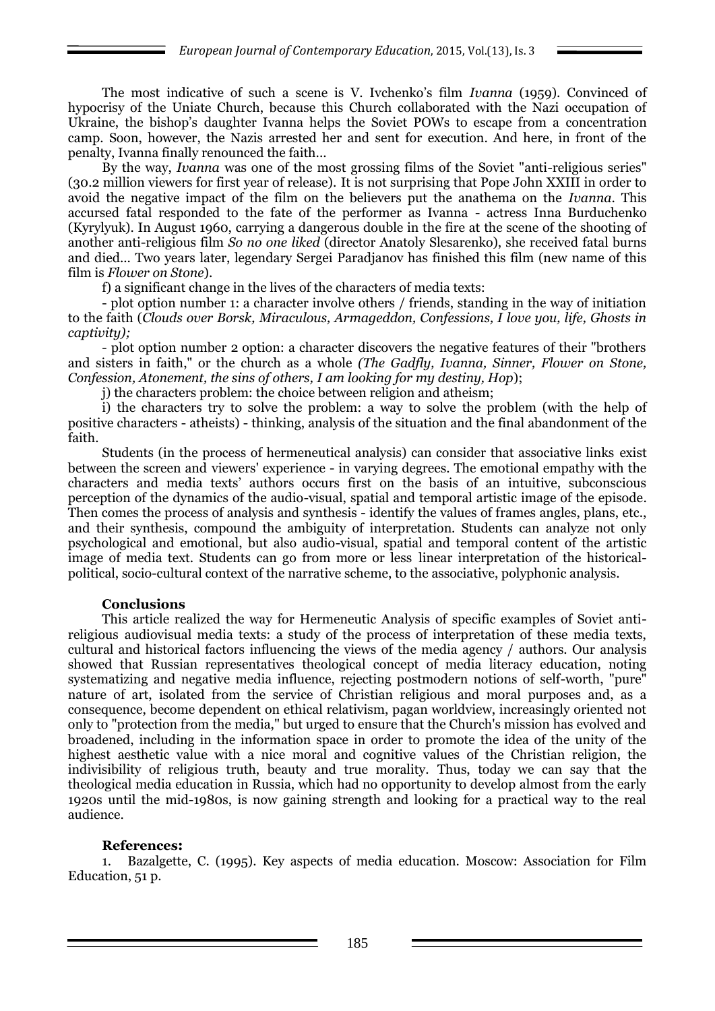The most indicative of such a scene is V. Ivchenko's film *Ivanna* (1959). Convinced of hypocrisy of the Uniate Church, because this Church collaborated with the Nazi occupation of Ukraine, the bishop's daughter Ivanna helps the Soviet POWs to escape from a concentration camp. Soon, however, the Nazis arrested her and sent for execution. And here, in front of the penalty, Ivanna finally renounced the faith...

By the way, *Ivanna* was one of the most grossing films of the Soviet "anti-religious series" (30.2 million viewers for first year of release). It is not surprising that Pope John XXIII in order to avoid the negative impact of the film on the believers put the anathema on the *Ivanna*. This accursed fatal responded to the fate of the performer as Ivanna - actress Inna Burduchenko (Kyrylyuk). In August 1960, carrying a dangerous double in the fire at the scene of the shooting of another anti-religious film *So no one liked* (director Anatoly Slesarenko), she received fatal burns and died... Two years later, legendary Sergei Paradjanov has finished this film (new name of this film is *Flower on Stone*).

f) a significant change in the lives of the characters of media texts:

- plot option number 1: a character involve others / friends, standing in the way of initiation to the faith (*Clouds over Borsk, Miraculous, Armageddon, Confessions, I love you, life, Ghosts in captivity);*

- plot option number 2 option: a character discovers the negative features of their "brothers and sisters in faith," or the church as a whole *(The Gadfly, Ivanna, Sinner, Flower on Stone, Confession, Atonement, the sins of others, I am looking for my destiny, Hop*);

j) the characters problem: the choice between religion and atheism;

i) the characters try to solve the problem: a way to solve the problem (with the help of positive characters - atheists) - thinking, analysis of the situation and the final abandonment of the faith.

Students (in the process of hermeneutical analysis) can consider that associative links exist between the screen and viewers' experience - in varying degrees. The emotional empathy with the characters and media texts" authors occurs first on the basis of an intuitive, subconscious perception of the dynamics of the audio-visual, spatial and temporal artistic image of the episode. Then comes the process of analysis and synthesis - identify the values of frames angles, plans, etc., and their synthesis, compound the ambiguity of interpretation. Students can analyze not only psychological and emotional, but also audio-visual, spatial and temporal content of the artistic image of media text. Students can go from more or less linear interpretation of the historicalpolitical, socio-cultural context of the narrative scheme, to the associative, polyphonic analysis.

#### **Conclusions**

This article realized the way for Hermeneutic Analysis of specific examples of Soviet antireligious audiovisual media texts: a study of the process of interpretation of these media texts, cultural and historical factors influencing the views of the media agency / authors. Our analysis showed that Russian representatives theological concept of media literacy education, noting systematizing and negative media influence, rejecting postmodern notions of self-worth, "pure" nature of art, isolated from the service of Christian religious and moral purposes and, as a consequence, become dependent on ethical relativism, pagan worldview, increasingly oriented not only to "protection from the media," but urged to ensure that the Church's mission has evolved and broadened, including in the information space in order to promote the idea of the unity of the highest aesthetic value with a nice moral and cognitive values of the Christian religion, the indivisibility of religious truth, beauty and true morality. Thus, today we can say that the theological media education in Russia, which had no opportunity to develop almost from the early 1920s until the mid-1980s, is now gaining strength and looking for a practical way to the real audience.

#### **References:**

1. Bazalgette, C. (1995). Key aspects of media education. Moscow: Association for Film Education, 51 p.